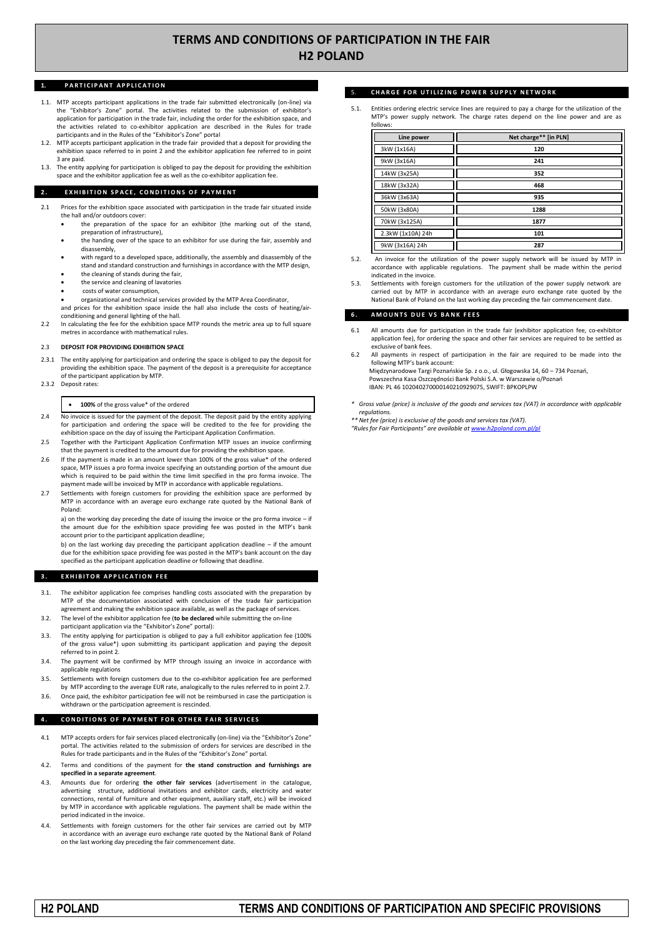# **TERMS AND CONDITIONS OF PARTICIPATION IN THE FAIR H2 POLAND**

### **PARTICIPANT APPLICATION**

- 1.1. MTP accepts participant applications in the trade fair submitted electronically (on-line) via the "Exhibitor's Zone" portal. The activities related to the submission of exhibitor's application for participation in the trade fair, including the order for the exhibition space, and the activities related to co-exhibitor application are described in the Rules for trade participants and in the Rules of the "Exhibitor's Zone" portal
- MTP accepts participant application in the trade fair provided that a deposit for providing the exhibition space referred to in point 2 and the exhibitor application fee referred to in point 3 are paid.
- 1.3. The entity applying for participation is obliged to pay the deposit for providing the exhibition space and the exhibitor application fee as well as the co-exhibitor application fee.

#### **2. EXHIBITION SPACE, CONDITIONS OF PAYMENT**

- 2.1 Prices for the exhibition space associated with participation in the trade fair situated inside the hall and/or outdoors cover:
	- the preparation of the space for an exhibitor (the marking out of the stand, preparation of infrastructure),
	- the handing over of the space to an exhibitor for use during the fair, assembly and disassembly,
	- with regard to a developed space, additionally, the assembly and disassembly of the stand and standard construction and furnishings in accordance with the MTP design,
	- the cleaning of stands during the fair,
	- the service and cleaning of lavatories
	- costs of water consumption,
	- organizational and technical services provided by the MTP Area Coordinator, and prices for the exhibition space inside the hall also include the costs of heating/air-
- conditioning and general lighting of the hall. 2.2 In calculating the fee for the exhibition space MTP rounds the metric area up to full square metres in accordance with mathematical rules.

### 2.3 **DEPOSIT FOR PROVIDING EXHIBITION SPACE**

- 2.3.1 The entity applying for participation and ordering the space is obliged to pay the deposit for providing the exhibition space. The payment of the deposit is a prerequisite for acceptance of the participant application by MTP.
- 2.3.2 Deposit rates:

#### **100%** of the gross value\* of the ordered

- 2.4 No invoice is issued for the payment of the deposit. The deposit paid by the entity applying for participation and ordering the space will be credited to the fee for providing the exhibition space on the day of issuing the Participant Application Confirmation.
- 2.5 Together with the Participant Application Confirmation MTP issues an invoice confirming that the payment is credited to the amount due for providing the exhibition space.
- 2.6 If the payment is made in an amount lower than 100% of the gross value\* of the ordered space, MTP issues a pro forma invoice specifying an outstanding portion of the amount due which is required to be paid within the time limit specified in the pro forma invoice. The payment made will be invoiced by MTP in accordance with applicable regulations.
- Settlements with foreign customers for providing the exhibition space are performed by MTP in accordance with an average euro exchange rate quoted by the National Bank of Poland:

a) on the working day preceding the date of issuing the invoice or the pro forma invoice – if the amount due for the exhibition space providing fee was posted in the MTP's bank account prior to the participant application deadline;

b) on the last working day preceding the participant application deadline – if the amount due for the exhibition space providing fee was posted in the MTP's bank account on the day specified as the participant application deadline or following that deadline.

### **3. EXHIBITOR APPLICATION FEE**

- 3.1. The exhibitor application fee comprises handling costs associated with the preparation by MTP of the documentation associated with conclusion of the trade fair participation agreement and making the exhibition space available, as well as the package of services.
- The level of the exhibitor application fee (to be declared while submitting the on-line participant application via the "Exhibitor's Zone" portal):
- 3.3. The entity applying for participation is obliged to pay a full exhibitor application fee (100% of the gross value\*) upon submitting its participant application and paying the deposit referred to in point 2.
- 3.4. The payment will be confirmed by MTP through issuing an invoice in accordance with applicable regulations
- 3.5. Settlements with foreign customers due to the co-exhibitor application fee are performed by MTP according to the average EUR rate, analogically to the rules referred to in point 2.7.
- Once paid, the exhibitor participation fee will not be reimbursed in case the participation is withdrawn or the participation agreement is rescinded.

### **4. CONDITIONS OF PAYMENT FOR OTHER FAIR SERVICES**

- 4.1 MTP accepts orders for fair services placed electronically (on-line) via the "Exhibitor's Zone" portal. The activities related to the submission of orders for services are described in the Rules for trade participants and in the Rules of the "Exhibitor's Zone" portal.
- 4.2. Terms and conditions of the payment for **the stand construction and furnishings are specified in a separate agreement**.
- 4.3. Amounts due for ordering **the other fair services** (advertisement in the catalogue, advertising structure, additional invitations and exhibitor cards, electricity and water connections, rental of furniture and other equipment, auxiliary staff, etc.) will be invoiced by MTP in accordance with applicable regulations. The payment shall be made within the period indicated in the invoice.
- 4.4. Settlements with foreign customers for the other fair services are carried out by MTP in accordance with an average euro exchange rate quoted by the National Bank of Poland on the last working day preceding the fair commencement date.

### **CHARGE FOR UTILIZING POWER SUPPLY NETWORK**

5.1. Entities ordering electric service lines are required to pay a charge for the utilization of the MTP's power supply network. The charge rates depend on the line power and are as follows:

| Line power        | Net charge** [in PLN] |
|-------------------|-----------------------|
| 3kW (1x16A)       | 120                   |
| 9kW (3x16A)       | 241                   |
| 14kW (3x25A)      | 352                   |
| 18kW (3x32A)      | 468                   |
| 36kW (3x63A)      | 935                   |
| 50kW (3x80A)      | 1288                  |
| 70kW (3x125A)     | 1877                  |
| 2.3kW (1x10A) 24h | 101                   |
| 9kW (3x16A) 24h   | 287                   |

- An invoice for the utilization of the power supply network will be issued by MTP in accordance with applicable regulations. The payment shall be made within the period indicated in the invoice.
- 5.3. Settlements with foreign customers for the utilization of the power supply network are carried out by MTP in accordance with an average euro exchange rate quoted by the National Bank of Poland on the last working day preceding the fair commencement date.

### **6 . A M O U N T S D U E V S B A N K F E E S**

- All amounts due for participation in the trade fair (exhibitor application fee, co-exhibitor application fee), for ordering the space and other fair services are required to be settled as exclusive of bank fees.
- 6.2 All payments in respect of participation in the fair are required to be made into the following MTP's bank account: Międzynarodowe Targi Poznańskie Sp. z o.o., ul. Głogowska 14, 60 – 734 Poznań, Powszechna Kasa Oszczędności Bank Polski S.A. w Warszawie o/Poznań
- IBAN: PL 46 102040270000140210929075, SWIFT: BPKOPLPW
- *\* Gross value (price) is inclusive of the goods and services tax (VAT) in accordance with applicable regulations.*
- *\*\* Net fee (price) is exclusive of the goods and services tax (VAT).*
- *"Rules for Fair Participants" are available a[t www.h2poland.com.pl/pl](http://www.h2poland.com.pl/pl)*